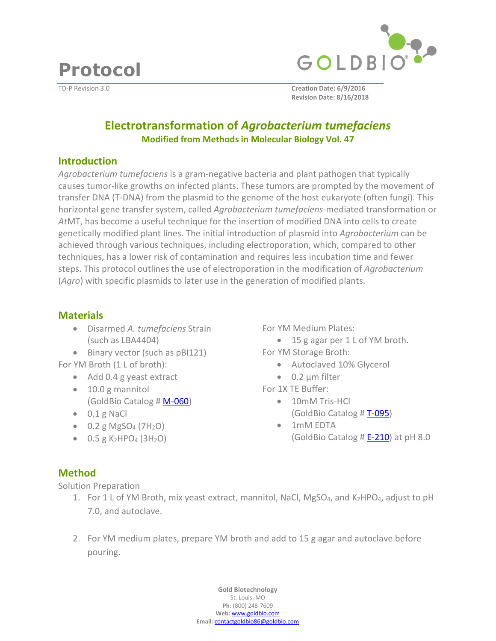

**Protocol** 

TD-P Revision 3.0 **Creation Date: 6/9/2016 Revision Date: 8/16/2018**

# **Electrotransformation of** *Agrobacterium tumefaciens* **Modified from Methods in Molecular Biology Vol. 47**

### **Introduction**

*Agrobacterium tumefaciens* is a gram-negative bacteria and plant pathogen that typically causes tumor-like growths on infected plants. These tumors are prompted by the movement of transfer DNA (T-DNA) from the plasmid to the genome of the host eukaryote (often fungi). This horizontal gene transfer system, called *Agrobacterium tumefaciens*-mediated transformation or *At*MT, has become a useful technique for the insertion of modified DNA into cells to create genetically modified plant lines. The initial introduction of plasmid into *Agrobacterium* can be achieved through various techniques, including electroporation, which, compared to other techniques, has a lower risk of contamination and requires less incubation time and fewer steps. This protocol outlines the use of electroporation in the modification of *Agrobacterium* (*Agro*) with specific plasmids to later use in the generation of modified plants.

## **Materials**

- Disarmed *A. tumefaciens* Strain (such as LBA4404)
- Binary vector (such as pBI121)

For YM Broth (1 L of broth):

- Add 0.4 g yeast extract
- 10.0 g mannitol (GoldBio Catalog # [M-060](https://www.goldbio.com/product/3875/d-mannitol-usp-grade))
- $\bullet$  0.1 g NaCl
- $\bullet$  0.2 g MgSO<sub>4</sub> (7H<sub>2</sub>O)
- $\bullet$  0.5 g K<sub>2</sub>HPO<sub>4</sub> (3H<sub>2</sub>O)

For YM Medium Plates:

- 15 g agar per 1 L of YM broth. For YM Storage Broth:
	- Autoclaved 10% Glycerol
	- $\bullet$  0.2 µm filter

For 1X TE Buffer:

- 10mM Tris-HCl (GoldBio Catalog # [T-095\)](https://www.goldbio.com/product/3999/tris-hcl)
- 1mM EDTA (GoldBio Catalog  $\# E$ -210) at pH 8.0

# **Method**

Solution Preparation

- 1. For 1 L of YM Broth, mix yeast extract, mannitol, NaCl, MgSO<sub>4</sub>, and K<sub>2</sub>HPO<sub>4</sub>, adjust to pH 7.0, and autoclave.
- 2. For YM medium plates, prepare YM broth and add to 15 g agar and autoclave before pouring.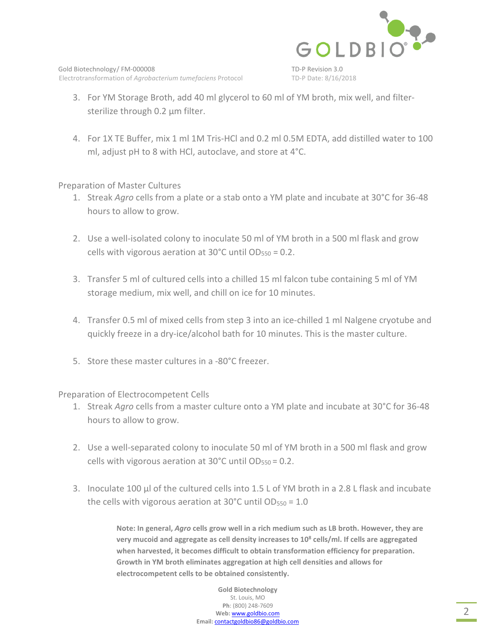

- 3. For YM Storage Broth, add 40 ml glycerol to 60 ml of YM broth, mix well, and filtersterilize through 0.2 µm filter.
- 4. For 1X TE Buffer, mix 1 ml 1M Tris-HCl and 0.2 ml 0.5M EDTA, add distilled water to 100 ml, adjust pH to 8 with HCl, autoclave, and store at 4°C.

Preparation of Master Cultures

- 1. Streak *Agro* cells from a plate or a stab onto a YM plate and incubate at 30°C for 36-48 hours to allow to grow.
- 2. Use a well-isolated colony to inoculate 50 ml of YM broth in a 500 ml flask and grow cells with vigorous aeration at  $30^{\circ}$ C until OD<sub>550</sub> = 0.2.
- 3. Transfer 5 ml of cultured cells into a chilled 15 ml falcon tube containing 5 ml of YM storage medium, mix well, and chill on ice for 10 minutes.
- 4. Transfer 0.5 ml of mixed cells from step 3 into an ice-chilled 1 ml Nalgene cryotube and quickly freeze in a dry-ice/alcohol bath for 10 minutes. This is the master culture.
- 5. Store these master cultures in a -80°C freezer.

Preparation of Electrocompetent Cells

- 1. Streak *Agro* cells from a master culture onto a YM plate and incubate at 30°C for 36-48 hours to allow to grow.
- 2. Use a well-separated colony to inoculate 50 ml of YM broth in a 500 ml flask and grow cells with vigorous aeration at  $30^{\circ}$ C until OD<sub>550</sub> = 0.2.
- 3. Inoculate 100 µl of the cultured cells into 1.5 L of YM broth in a 2.8 L flask and incubate the cells with vigorous aeration at  $30^{\circ}$ C until OD<sub>550</sub> = 1.0

**Note: In general,** *Agro* **cells grow well in a rich medium such as LB broth. However, they are very mucoid and aggregate as cell density increases to 10<sup>8</sup> cells/ml. If cells are aggregated when harvested, it becomes difficult to obtain transformation efficiency for preparation. Growth in YM broth eliminates aggregation at high cell densities and allows for electrocompetent cells to be obtained consistently.**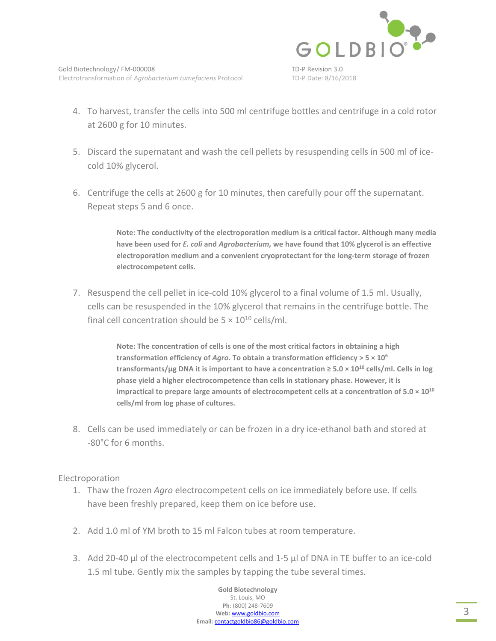

- 4. To harvest, transfer the cells into 500 ml centrifuge bottles and centrifuge in a cold rotor at 2600 g for 10 minutes.
- 5. Discard the supernatant and wash the cell pellets by resuspending cells in 500 ml of icecold 10% glycerol.
- 6. Centrifuge the cells at 2600 g for 10 minutes, then carefully pour off the supernatant. Repeat steps 5 and 6 once.

**Note: The conductivity of the electroporation medium is a critical factor. Although many media have been used for** *E. coli* **and** *Agrobacterium,* **we have found that 10% glycerol is an effective electroporation medium and a convenient cryoprotectant for the long-term storage of frozen electrocompetent cells.** 

7. Resuspend the cell pellet in ice-cold 10% glycerol to a final volume of 1.5 ml. Usually, cells can be resuspended in the 10% glycerol that remains in the centrifuge bottle. The final cell concentration should be  $5 \times 10^{10}$  cells/ml.

> **Note: The concentration of cells is one of the most critical factors in obtaining a high transformation efficiency of** *Agro***. To obtain a transformation efficiency > 5 × 10<sup>6</sup> transformants/µg DNA it is important to have a concentration**  $\geq 5.0 \times 10^{10}$  **cells/ml. Cells in log phase yield a higher electrocompetence than cells in stationary phase. However, it is impractical to prepare large amounts of electrocompetent cells at a concentration of 5.0 × 10<sup>10</sup> cells/ml from log phase of cultures.**

8. Cells can be used immediately or can be frozen in a dry ice-ethanol bath and stored at -80°C for 6 months.

Electroporation

- 1. Thaw the frozen *Agro* electrocompetent cells on ice immediately before use. If cells have been freshly prepared, keep them on ice before use.
- 2. Add 1.0 ml of YM broth to 15 ml Falcon tubes at room temperature.
- 3. Add 20-40 µl of the electrocompetent cells and 1-5 µl of DNA in TE buffer to an ice-cold 1.5 ml tube. Gently mix the samples by tapping the tube several times.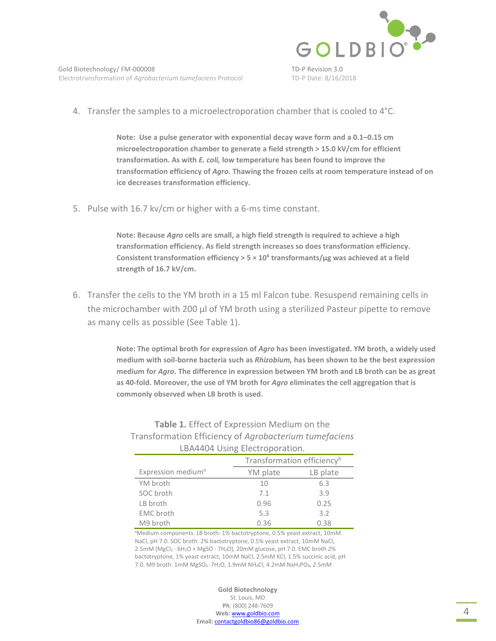

Gold Biotechnology/FM-000008 TD-P Revision 3.0 Electrotransformation of *Agrobacterium tumefaciens* Protocol TD-P Date: 8/16/2018

4. Transfer the samples to a microelectroporation chamber that is cooled to 4°C.

**Note: Use a pulse generator with exponential decay wave form and a 0.1–0.15 cm microelectroporation chamber to generate a field strength > 15.0 kV/cm for efficient transformation. As with** *E. coli,* **low temperature has been found to improve the transformation efficiency of** *Agro.* **Thawing the frozen cells at room temperature instead of on ice decreases transformation efficiency.** 

5. Pulse with 16.7 kv/cm or higher with a 6-ms time constant.

**Note: Because** *Agro* **cells are small, a high field strength is required to achieve a high transformation efficiency. As field strength increases so does transformation efficiency.**  Consistent transformation efficiency > 5 × 10<sup>6</sup> transformants/µg was achieved at a field **strength of 16.7 kV/cm.** 

6. Transfer the cells to the YM broth in a 15 ml Falcon tube. Resuspend remaining cells in the microchamber with 200 µl of YM broth using a sterilized Pasteur pipette to remove as many cells as possible (See Table 1).

> **Note: The optimal broth for expression of** *Agro* **has been investigated. YM broth, a widely used medium with soil-borne bacteria such as** *Rhizobium,* **has been shown to be the best expression medium for** *Agro***. The difference in expression between YM broth and LB broth can be as great as 40-fold. Moreover, the use of YM broth for** *Agro* **eliminates the cell aggregation that is commonly observed when LB broth is used.**

|                                | Transformation efficiency <sup>b</sup> |          |
|--------------------------------|----------------------------------------|----------|
| Expression medium <sup>a</sup> | YM plate                               | LB plate |
| YM broth                       | 10                                     | 6.3      |
| SOC broth                      | 7.1                                    | 3.9      |
| LB broth                       | 0.96                                   | 0.25     |
| <b>EMC</b> broth               | 5.3                                    | 3.2      |
| M9 broth                       | 0.36                                   | 0.38     |

### **Table 1.** Effect of Expression Medium on the Transformation Efficiency of *Agrobacterium tumefaciens*  LBA4404 Using Electroporation.

<sup>a</sup>Medium components. LB broth: 1% bactotryptone, 0.5% yeast extract, 10mM NaCl, pH 7.0. SOC broth: 2% bactotryptone, 0.5% yeast extract, 10mM NaCl,  $2.5$ mM (MgCl<sub>2</sub> · 6H<sub>2</sub>O + MgSO · 7H<sub>2</sub>O), 20mM glucose, pH 7.0. EMC broth 2% bactotryptone, 1% yeast extract, 10mM NaCl, 2.5mM KCl, 1.5% succinic acid, pH 7.0. M9 broth: 1mM MgSO4 ·7H2O, 1.9mM NH4Cl, 4.2mM NaH2PO4, 2.5mM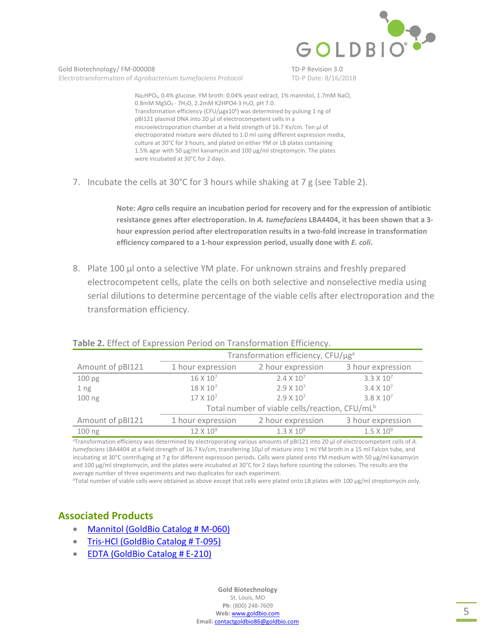

Gold Biotechnology/FM-000008 TD-P Revision 3.0 Electrotransformation of *Agrobacterium tumefaciens* Protocol TD-P Date: 8/16/2018

Na2HPO4, 0.4% glucose. YM broth: 0.04% yeast extract, 1% mannitol, 1.7mM NaCl, 0.8mM MgSO4 · 7H2O, 2.2mM K2HPO4·3 H2O, pH 7.0. Transformation efficiency (CFU/µgx10<sup>6</sup>) was determined by pulsing 1 ng of pBI121 plasmid DNA into 20 µl of electrocompetent cells in a microelectroporation chamber at a field strength of 16.7 Kv/cm. Ten µl of electroporated mixture were diluted to 1.0 ml using different expression media, culture at 30°C for 3 hours, and plated on either YM or LB plates containing 1.5% agar with 50 µg/ml kanamycin and 100 µg/ml streptomycin. The plates were incubated at 30°C for 2 days.

7. Incubate the cells at 30°C for 3 hours while shaking at 7 g (see Table 2).

**Note:** *Agro* **cells require an incubation period for recovery and for the expression of antibiotic resistance genes after electroporation. In** *A. tumefaciens* **LBA4404, it has been shown that a 3 hour expression period after electroporation results in a two-fold increase in transformation efficiency compared to a 1-hour expression period, usually done with** *E. coli***.** 

8. Plate 100 µl onto a selective YM plate. For unknown strains and freshly prepared electrocompetent cells, plate the cells on both selective and nonselective media using serial dilutions to determine percentage of the viable cells after electroporation and the transformation efficiency.

| <b>I QUIC 4.</b> LITECT OF LADICSSION FEHOU ON TRANSPOTHQUOH LINGENCY. |                                                            |                     |                     |  |
|------------------------------------------------------------------------|------------------------------------------------------------|---------------------|---------------------|--|
|                                                                        | Transformation efficiency, CFU/µg <sup>a</sup>             |                     |                     |  |
| Amount of pBI121                                                       | 1 hour expression                                          | 2 hour expression   | 3 hour expression   |  |
| 100 pg                                                                 | $16 \times 10^7$                                           | $2.4 \times 10^{7}$ | $3.3 \times 10^{7}$ |  |
| 1 <sub>ng</sub>                                                        | 18 X 10 <sup>7</sup>                                       | $2.9 \times 10^{7}$ | $3.4 \times 10^{7}$ |  |
| 100 ng                                                                 | $17 \times 10^7$                                           | $2.9 \times 10^{7}$ | $3.8 \times 10^{7}$ |  |
|                                                                        | Total number of viable cells/reaction, CFU/mL <sup>b</sup> |                     |                     |  |
| Amount of pBI121                                                       | 1 hour expression                                          | 2 hour expression   | 3 hour expression   |  |
| 100 <sub>ng</sub>                                                      | $12 \times 10^{9}$                                         | $1.3 \times 10^{9}$ | $1.5 \times 10^{9}$ |  |

#### **Table 2.** Effect of Expression Period on Transformation Efficiency.

<sup>a</sup>Transformation efficiency was determined by electroporating various amounts of pBI121 into 20 µl of electrocompetent cells of *A. tumefaciens* LBA4404 at a field strength of 16.7 Kv/cm, transferring 10µl of mixture into 1 ml YM broth in a 15 ml Falcon tube, and incubating at 30°C centrifuging at 7 g for different expression periods. Cells were plated onto YM medium with 50 µg/ml kanamycin and 100 µg/ml streptomycin, and the plates were incubated at 30°C for 2 days before counting the colonies. The results are the average number of three experiments and two duplicates for each experiment.

 $bT$ otal number of viable cells were obtained as above except that cells were plated onto LB plates with 100 µg/ml streptomycin only.

# **Associated Products**

- [Mannitol \(GoldBio Catalog # M-060\)](https://www.goldbio.com/product/3875/d-mannitol-usp-grade)
- [Tris-HCl \(GoldBio Catalog # T-095\)](https://www.goldbio.com/product/3999/tris-hcl)
- [EDTA \(GoldBio Catalog # E-210\)](https://www.goldbio.com/product/3175/edta-disodium)